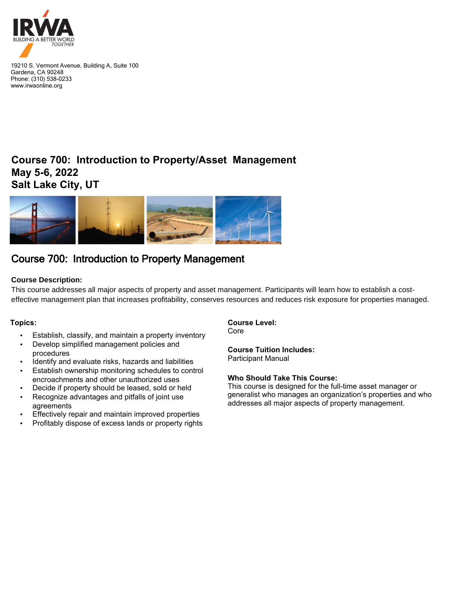

19210 S. Vermont Avenue, Building A, Suite 100 Gardena, CA 90248 Phone: (310) 538-0233 www.irwaonline.org

## **Course 700: Introduction to Property/Asset Management May 5-6, 2022 Salt Lake City, UT**



# Course 700: Introduction to Property Management

### **Course Description:**

This course addresses all major aspects of property and asset management. Participants will learn how to establish a costeffective management plan that increases profitability, conserves resources and reduces risk exposure for properties managed.

#### **Topics:**

- Establish, classify, and maintain a property inventory
- Develop simplified management policies and procedures
- Identify and evaluate risks, hazards and liabilities
- Establish ownership monitoring schedules to control encroachments and other unauthorized uses
- Decide if property should be leased, sold or held
- Recognize advantages and pitfalls of joint use agreements
- Effectively repair and maintain improved properties
- Profitably dispose of excess lands or property rights

**Course Level:**  Core

**Course Tuition Includes:** Participant Manual

#### **Who Should Take This Course:**

This course is designed for the full-time asset manager or generalist who manages an organization's properties and who addresses all major aspects of property management.